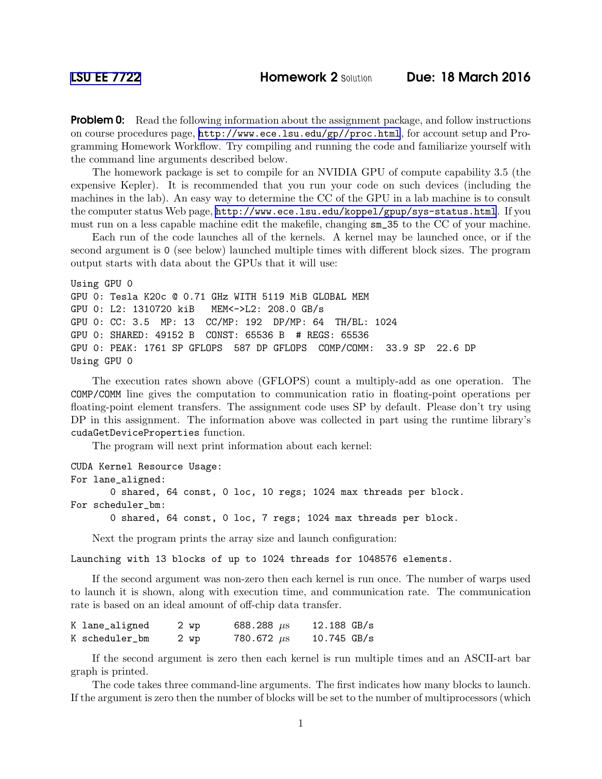**Problem 0:** Read the following information about the assignment package, and follow instructions on course procedures page, <http://www.ece.lsu.edu/gp//proc.html>, for account setup and Programming Homework Workflow. Try compiling and running the code and familiarize yourself with the command line arguments described below.

The homework package is set to compile for an NVIDIA GPU of compute capability 3.5 (the expensive Kepler). It is recommended that you run your code on such devices (including the machines in the lab). An easy way to determine the CC of the GPU in a lab machine is to consult the computer status Web page, <http://www.ece.lsu.edu/koppel/gpup/sys-status.html>. If you must run on a less capable machine edit the makefile, changing sm\_35 to the CC of your machine.

Each run of the code launches all of the kernels. A kernel may be launched once, or if the second argument is 0 (see below) launched multiple times with different block sizes. The program output starts with data about the GPUs that it will use:

```
Using GPU 0
GPU 0: Tesla K20c @ 0.71 GHz WITH 5119 MiB GLOBAL MEM
GPU 0: L2: 1310720 kiB MEM<->L2: 208.0 GB/s
GPU 0: CC: 3.5 MP: 13 CC/MP: 192 DP/MP: 64 TH/BL: 1024
GPU 0: SHARED: 49152 B CONST: 65536 B # REGS: 65536
GPU 0: PEAK: 1761 SP GFLOPS 587 DP GFLOPS COMP/COMM: 33.9 SP 22.6 DP
Using GPU 0
```
The execution rates shown above (GFLOPS) count a multiply-add as one operation. The COMP/COMM line gives the computation to communication ratio in floating-point operations per floating-point element transfers. The assignment code uses SP by default. Please don't try using DP in this assignment. The information above was collected in part using the runtime library's cudaGetDeviceProperties function.

The program will next print information about each kernel:

```
CUDA Kernel Resource Usage:
For lane_aligned:
       0 shared, 64 const, 0 loc, 10 regs; 1024 max threads per block.
For scheduler_bm:
```
0 shared, 64 const, 0 loc, 7 regs; 1024 max threads per block.

Next the program prints the array size and launch configuration:

Launching with 13 blocks of up to 1024 threads for 1048576 elements.

If the second argument was non-zero then each kernel is run once. The number of warps used to launch it is shown, along with execution time, and communication rate. The communication rate is based on an ideal amount of off-chip data transfer.

| K lane_aligned | 2 wp | 688.288 $\mu$ s | $12.188$ GB/s |  |
|----------------|------|-----------------|---------------|--|
| K scheduler_bm | 2 wp | 780.672 $\mu$ s | $10.745$ GB/s |  |

If the second argument is zero then each kernel is run multiple times and an ASCII-art bar graph is printed.

The code takes three command-line arguments. The first indicates how many blocks to launch. If the argument is zero then the number of blocks will be set to the number of multiprocessors (which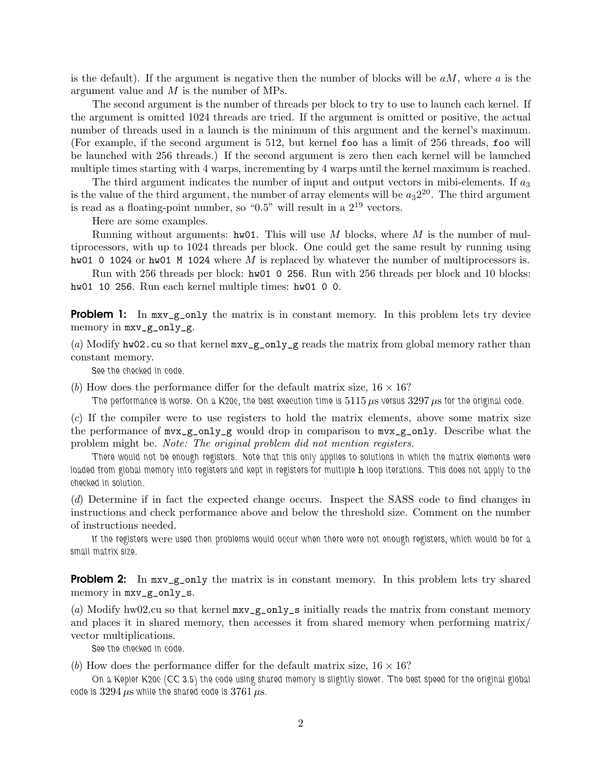is the default). If the argument is negative then the number of blocks will be  $aM$ , where  $a$  is the argument value and M is the number of MPs.

The second argument is the number of threads per block to try to use to launch each kernel. If the argument is omitted 1024 threads are tried. If the argument is omitted or positive, the actual number of threads used in a launch is the minimum of this argument and the kernel's maximum. (For example, if the second argument is 512, but kernel foo has a limit of 256 threads, foo will be launched with 256 threads.) If the second argument is zero then each kernel will be launched multiple times starting with 4 warps, incrementing by 4 warps until the kernel maximum is reached.

The third argument indicates the number of input and output vectors in mibi-elements. If  $a_3$ is the value of the third argument, the number of array elements will be  $a_3 2^{20}$ . The third argument is read as a floating-point number, so " $0.5$ " will result in a  $2^{19}$  vectors.

Here are some examples.

Running without arguments: hw01. This will use M blocks, where M is the number of multiprocessors, with up to 1024 threads per block. One could get the same result by running using hw01 0 1024 or hw01 M 1024 where  $M$  is replaced by whatever the number of multiprocessors is.

Run with 256 threads per block: hw01 0 256. Run with 256 threads per block and 10 blocks: hw01 10 256. Run each kernel multiple times: hw01 0 0.

**Problem 1:** In  $\text{mxv\_g\_only}$  the matrix is in constant memory. In this problem lets try device memory in mxv\_g\_only\_g.

(*a*) Modify hw02.cu so that kernel  $\max_{g}$  only  $g$  reads the matrix from global memory rather than constant memory.

See the checked in code.

(*b*) How does the performance differ for the default matrix size,  $16 \times 16$ ?

The performance is worse. On a K20c, the best execution time is  $5115 \,\mu s$  versus  $3297 \,\mu s$  for the original code.

(*c*) If the compiler were to use registers to hold the matrix elements, above some matrix size the performance of mvx\_g\_only\_g would drop in comparison to mvx\_g\_only. Describe what the problem might be. *Note: The original problem did not mention registers.*

There would not be enough registers. Note that this only applies to solutions in which the matrix elements were loaded from global memory into registers and kept in registers for multiple h loop iterations. This does not apply to the checked in solution.

(*d*) Determine if in fact the expected change occurs. Inspect the SASS code to find changes in instructions and check performance above and below the threshold size. Comment on the number of instructions needed.

If the registers were used then problems would occur when there were not enough registers, which would be for a small matrix size.

**Problem 2:** In  $\text{mxv\_g\_only}$  the matrix is in constant memory. In this problem lets try shared memory in mxv\_g\_only\_s.

(*a*) Modify hw02.cu so that kernel  $mx-g_$ only\_s initially reads the matrix from constant memory and places it in shared memory, then accesses it from shared memory when performing matrix/ vector multiplications.

See the checked in code.

(*b*) How does the performance differ for the default matrix size,  $16 \times 16$ ?

On a Kepler K20c (CC 3.5) the code using shared memory is slightly slower. The best speed for the original global code is  $3294 \,\mu s$  while the shared code is  $3761 \,\mu s$ .